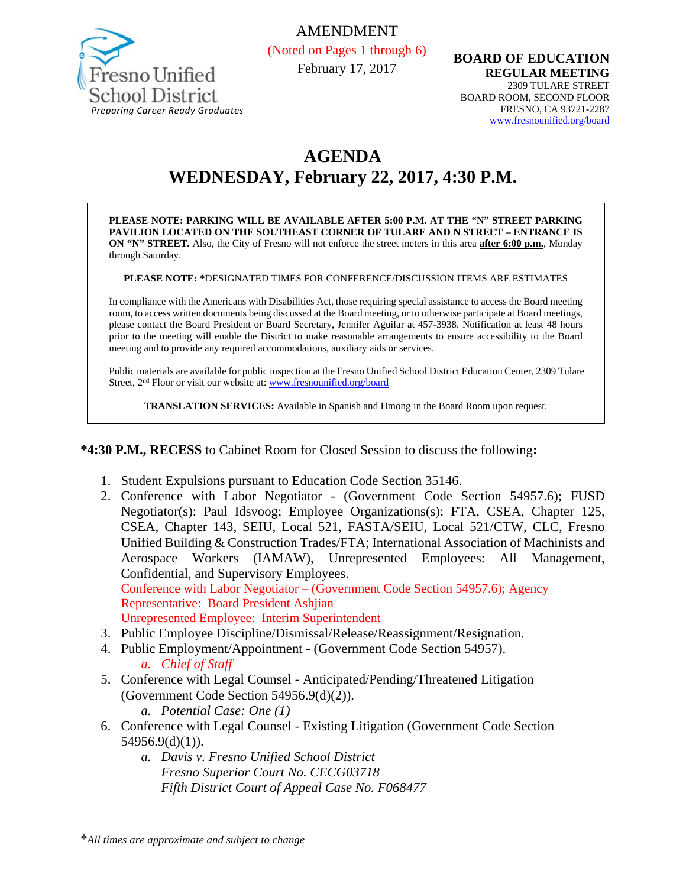

AMENDMENT (Noted on Pages 1 through 6) February 17, 2017

**BOARD OF EDUCATION REGULAR MEETING**  2309 TULARE STREET BOARD ROOM, SECOND FLOOR FRESNO, CA 93721-2287 www.fresnounified.org/board

# **AGENDA WEDNESDAY, February 22, 2017, 4:30 P.M.**

**PLEASE NOTE: PARKING WILL BE AVAILABLE AFTER 5:00 P.M. AT THE "N" STREET PARKING PAVILION LOCATED ON THE SOUTHEAST CORNER OF TULARE AND N STREET – ENTRANCE IS ON "N" STREET.** Also, the City of Fresno will not enforce the street meters in this area **after 6:00 p.m.**, Monday through Saturday.

**PLEASE NOTE: \***DESIGNATED TIMES FOR CONFERENCE/DISCUSSION ITEMS ARE ESTIMATES

In compliance with the Americans with Disabilities Act, those requiring special assistance to access the Board meeting room, to access written documents being discussed at the Board meeting, or to otherwise participate at Board meetings, please contact the Board President or Board Secretary, Jennifer Aguilar at 457-3938. Notification at least 48 hours prior to the meeting will enable the District to make reasonable arrangements to ensure accessibility to the Board meeting and to provide any required accommodations, auxiliary aids or services.

Public materials are available for public inspection at the Fresno Unified School District Education Center, 2309 Tulare Street, 2<sup>nd</sup> Floor or visit our website at: www.fresnounified.org/board

**TRANSLATION SERVICES:** Available in Spanish and Hmong in the Board Room upon request.

#### **\*4:30 P.M., RECESS** to Cabinet Room for Closed Session to discuss the following**:**

- 1. Student Expulsions pursuant to Education Code Section 35146.
- 2. Conference with Labor Negotiator (Government Code Section 54957.6); FUSD Negotiator(s): Paul Idsvoog; Employee Organizations(s): FTA, CSEA, Chapter 125, CSEA, Chapter 143, SEIU, Local 521, FASTA/SEIU, Local 521/CTW, CLC, Fresno Unified Building & Construction Trades/FTA; International Association of Machinists and Aerospace Workers (IAMAW), Unrepresented Employees: All Management, Confidential, and Supervisory Employees.

Conference with Labor Negotiator – (Government Code Section 54957.6); Agency Representative: Board President Ashjian

Unrepresented Employee: Interim Superintendent

- 3. Public Employee Discipline/Dismissal/Release/Reassignment/Resignation.
- 4. Public Employment/Appointment (Government Code Section 54957). *a. Chief of Staff*
- 5. Conference with Legal CounselAnticipated/Pending/Threatened Litigation (Government Code Section 54956.9(d)(2)).
	- *a. Potential Case: One (1)*
- 6. Conference with Legal Counsel Existing Litigation (Government Code Section 54956.9(d)(1)).
	- *a. Davis v. Fresno Unified School District Fresno Superior Court No. CECG03718 Fifth District Court of Appeal Case No. F068477*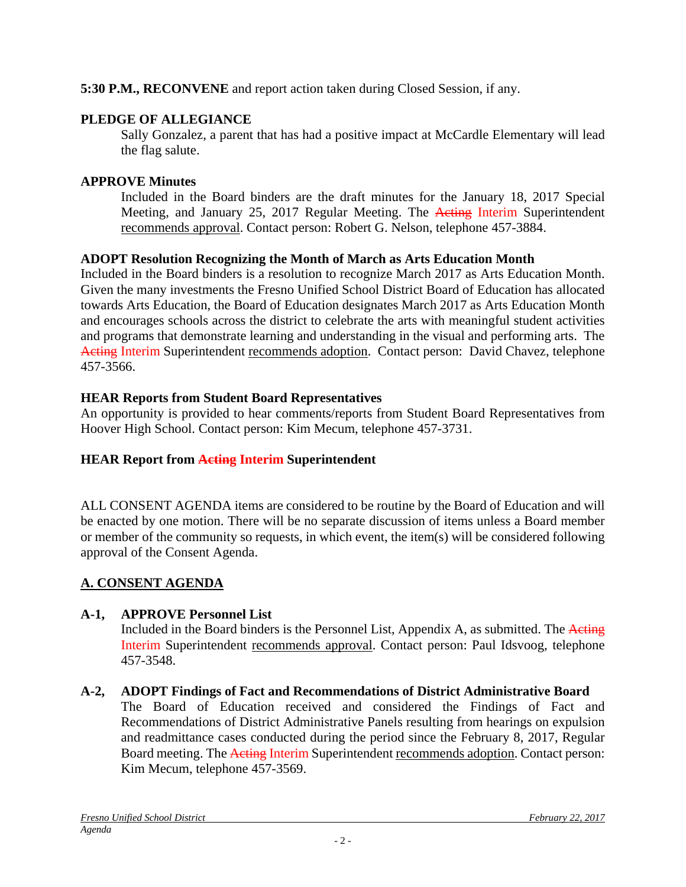# **5:30 P.M., RECONVENE** and report action taken during Closed Session, if any.

# **PLEDGE OF ALLEGIANCE**

Sally Gonzalez, a parent that has had a positive impact at McCardle Elementary will lead the flag salute.

### **APPROVE Minutes**

Included in the Board binders are the draft minutes for the January 18, 2017 Special Meeting, and January 25, 2017 Regular Meeting. The Acting Interim Superintendent recommends approval. Contact person: Robert G. Nelson, telephone 457-3884.

### **ADOPT Resolution Recognizing the Month of March as Arts Education Month**

Included in the Board binders is a resolution to recognize March 2017 as Arts Education Month. Given the many investments the Fresno Unified School District Board of Education has allocated towards Arts Education, the Board of Education designates March 2017 as Arts Education Month and encourages schools across the district to celebrate the arts with meaningful student activities and programs that demonstrate learning and understanding in the visual and performing arts. The Acting Interim Superintendent recommends adoption. Contact person: David Chavez, telephone 457-3566.

### **HEAR Reports from Student Board Representatives**

An opportunity is provided to hear comments/reports from Student Board Representatives from Hoover High School. Contact person: Kim Mecum, telephone 457-3731.

# **HEAR Report from Acting Interim Superintendent**

ALL CONSENT AGENDA items are considered to be routine by the Board of Education and will be enacted by one motion. There will be no separate discussion of items unless a Board member or member of the community so requests, in which event, the item(s) will be considered following approval of the Consent Agenda.

# **A. CONSENT AGENDA**

# **A-1, APPROVE Personnel List**

Included in the Board binders is the Personnel List, Appendix A, as submitted. The Acting Interim Superintendent recommends approval. Contact person: Paul Idsvoog, telephone 457-3548.

# **A-2, ADOPT Findings of Fact and Recommendations of District Administrative Board**

The Board of Education received and considered the Findings of Fact and Recommendations of District Administrative Panels resulting from hearings on expulsion and readmittance cases conducted during the period since the February 8, 2017, Regular Board meeting. The Acting Interim Superintendent recommends adoption. Contact person: Kim Mecum, telephone 457-3569.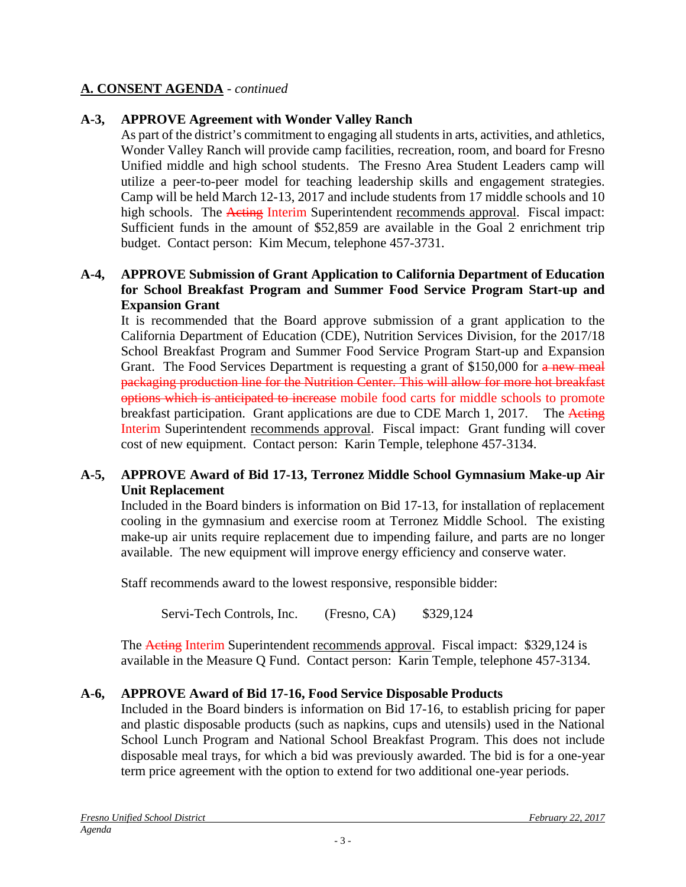### **A. CONSENT AGENDA** - *continued*

# **A-3, APPROVE Agreement with Wonder Valley Ranch**

As part of the district's commitment to engaging all students in arts, activities, and athletics, Wonder Valley Ranch will provide camp facilities, recreation, room, and board for Fresno Unified middle and high school students. The Fresno Area Student Leaders camp will utilize a peer-to-peer model for teaching leadership skills and engagement strategies. Camp will be held March 12-13, 2017 and include students from 17 middle schools and 10 high schools. The Acting Interim Superintendent recommends approval. Fiscal impact: Sufficient funds in the amount of \$52,859 are available in the Goal 2 enrichment trip budget. Contact person: Kim Mecum, telephone 457-3731.

#### **A-4, APPROVE Submission of Grant Application to California Department of Education for School Breakfast Program and Summer Food Service Program Start-up and Expansion Grant**

It is recommended that the Board approve submission of a grant application to the California Department of Education (CDE), Nutrition Services Division, for the 2017/18 School Breakfast Program and Summer Food Service Program Start-up and Expansion Grant. The Food Services Department is requesting a grant of \$150,000 for a new meal packaging production line for the Nutrition Center. This will allow for more hot breakfast options which is anticipated to increase mobile food carts for middle schools to promote breakfast participation. Grant applications are due to CDE March 1, 2017. The Acting Interim Superintendent recommends approval. Fiscal impact: Grant funding will cover cost of new equipment. Contact person: Karin Temple, telephone 457-3134.

### **A-5, APPROVE Award of Bid 17-13, Terronez Middle School Gymnasium Make-up Air Unit Replacement**

Included in the Board binders is information on Bid 17-13, for installation of replacement cooling in the gymnasium and exercise room at Terronez Middle School. The existing make-up air units require replacement due to impending failure, and parts are no longer available. The new equipment will improve energy efficiency and conserve water.

Staff recommends award to the lowest responsive, responsible bidder:

Servi-Tech Controls, Inc. (Fresno, CA) \$329,124

The Acting Interim Superintendent recommends approval. Fiscal impact: \$329,124 is available in the Measure Q Fund. Contact person:Karin Temple, telephone 457-3134.

### **A-6, APPROVE Award of Bid 17-16, Food Service Disposable Products**

Included in the Board binders is information on Bid 17-16, to establish pricing for paper and plastic disposable products (such as napkins, cups and utensils) used in the National School Lunch Program and National School Breakfast Program. This does not include disposable meal trays, for which a bid was previously awarded. The bid is for a one-year term price agreement with the option to extend for two additional one-year periods.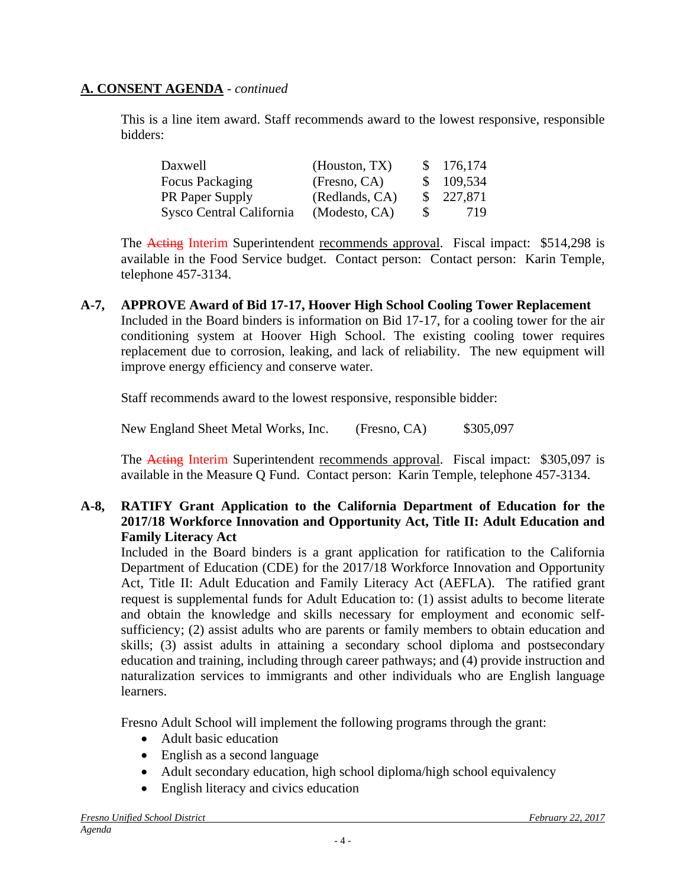### **A. CONSENT AGENDA** - *continued*

This is a line item award. Staff recommends award to the lowest responsive, responsible bidders:

| Daxwell                  | (Houston, TX)  |              | \$176,174 |
|--------------------------|----------------|--------------|-----------|
| Focus Packaging          | (Fresno, CA)   |              | \$109,534 |
| <b>PR</b> Paper Supply   | (Redlands, CA) |              | \$227,871 |
| Sysco Central California | (Modesto, CA)  | <sup>S</sup> | 719       |

The **Acting Interim Superintendent recommends approval.** Fiscal impact: \$514,298 is available in the Food Service budget. Contact person: Contact person:Karin Temple, telephone 457-3134.

**A-7, APPROVE Award of Bid 17-17, Hoover High School Cooling Tower Replacement**  Included in the Board binders is information on Bid 17-17, for a cooling tower for the air conditioning system at Hoover High School. The existing cooling tower requires replacement due to corrosion, leaking, and lack of reliability. The new equipment will improve energy efficiency and conserve water.

Staff recommends award to the lowest responsive, responsible bidder:

New England Sheet Metal Works, Inc. (Fresno, CA) \$305,097

The Acting Interim Superintendent recommends approval. Fiscal impact: \$305,097 is available in the Measure Q Fund. Contact person: Karin Temple, telephone 457-3134.

### **A-8, RATIFY Grant Application to the California Department of Education for the 2017/18 Workforce Innovation and Opportunity Act, Title II: Adult Education and Family Literacy Act**

Included in the Board binders is a grant application for ratification to the California Department of Education (CDE) for the 2017/18 Workforce Innovation and Opportunity Act, Title II: Adult Education and Family Literacy Act (AEFLA). The ratified grant request is supplemental funds for Adult Education to: (1) assist adults to become literate and obtain the knowledge and skills necessary for employment and economic selfsufficiency; (2) assist adults who are parents or family members to obtain education and skills; (3) assist adults in attaining a secondary school diploma and postsecondary education and training, including through career pathways; and (4) provide instruction and naturalization services to immigrants and other individuals who are English language learners.

Fresno Adult School will implement the following programs through the grant:

- Adult basic education
- English as a second language
- Adult secondary education, high school diploma/high school equivalency
- English literacy and civics education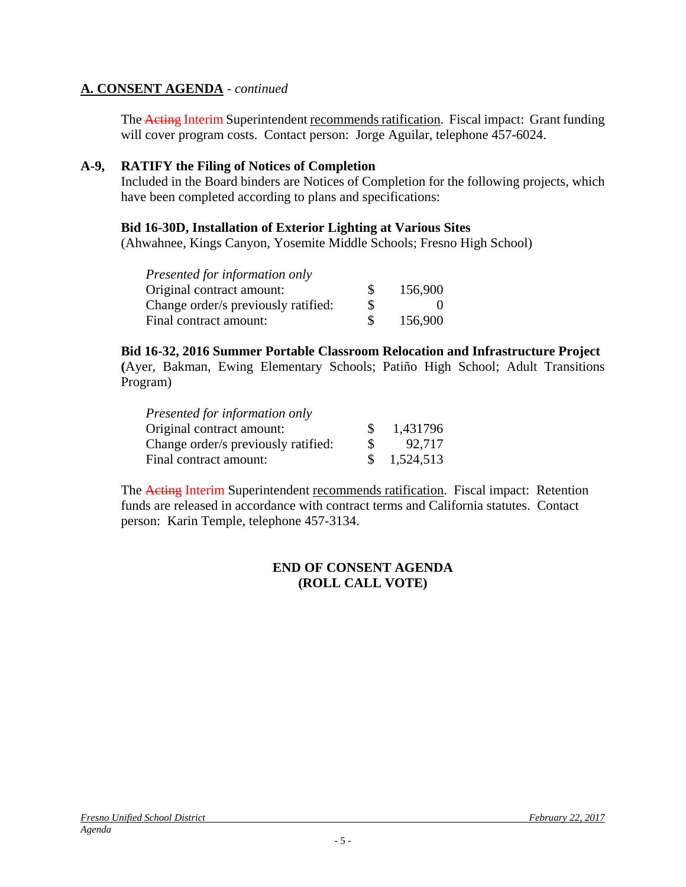### **A. CONSENT AGENDA** - *continued*

The Acting Interim Superintendent recommends ratification. Fiscal impact:Grant funding will cover program costs. Contact person: Jorge Aguilar, telephone 457-6024.

#### **A-9, RATIFY the Filing of Notices of Completion**

Included in the Board binders are Notices of Completion for the following projects, which have been completed according to plans and specifications:

#### **Bid 16-30D, Installation of Exterior Lighting at Various Sites**

(Ahwahnee, Kings Canyon, Yosemite Middle Schools; Fresno High School)

| Presented for information only      |          |         |
|-------------------------------------|----------|---------|
| Original contract amount:           | <b>S</b> | 156,900 |
| Change order/s previously ratified: | S        |         |
| Final contract amount:              |          | 156,900 |

#### **Bid 16-32, 2016 Summer Portable Classroom Relocation and Infrastructure Project**

**(**Ayer, Bakman, Ewing Elementary Schools; Patiño High School; Adult Transitions Program)

| Presented for information only      |               |           |
|-------------------------------------|---------------|-----------|
| Original contract amount:           | <sup>\$</sup> | 1,431796  |
| Change order/s previously ratified: | <b>S</b>      | 92.717    |
| Final contract amount:              | <sup>S</sup>  | 1,524,513 |

The Acting Interim Superintendent recommends ratification. Fiscal impact:Retention funds are released in accordance with contract terms and California statutes. Contact person: Karin Temple, telephone 457-3134.

#### **END OF CONSENT AGENDA (ROLL CALL VOTE)**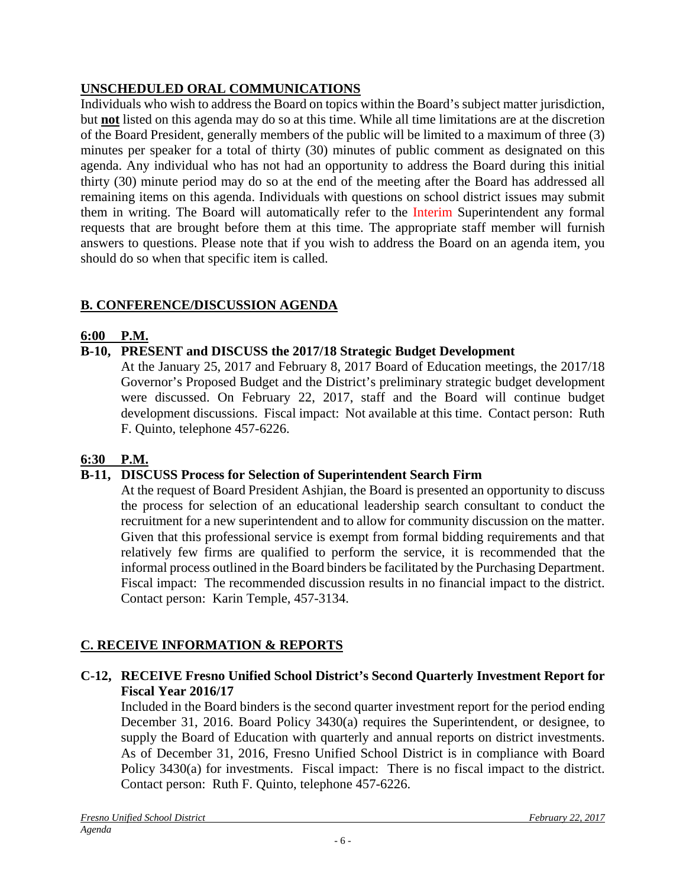# **UNSCHEDULED ORAL COMMUNICATIONS**

Individuals who wish to address the Board on topics within the Board's subject matter jurisdiction, but **not** listed on this agenda may do so at this time. While all time limitations are at the discretion of the Board President, generally members of the public will be limited to a maximum of three (3) minutes per speaker for a total of thirty (30) minutes of public comment as designated on this agenda. Any individual who has not had an opportunity to address the Board during this initial thirty (30) minute period may do so at the end of the meeting after the Board has addressed all remaining items on this agenda. Individuals with questions on school district issues may submit them in writing. The Board will automatically refer to the Interim Superintendent any formal requests that are brought before them at this time. The appropriate staff member will furnish answers to questions. Please note that if you wish to address the Board on an agenda item, you should do so when that specific item is called.

# **B. CONFERENCE/DISCUSSION AGENDA**

### **6:00 P.M.**

# **B-10, PRESENT and DISCUSS the 2017/18 Strategic Budget Development**

At the January 25, 2017 and February 8, 2017 Board of Education meetings, the 2017/18 Governor's Proposed Budget and the District's preliminary strategic budget development were discussed. On February 22, 2017, staff and the Board will continue budget development discussions. Fiscal impact: Not available at this time. Contact person: Ruth F. Quinto, telephone 457-6226.

# **6:30 P.M.**

# **B-11, DISCUSS Process for Selection of Superintendent Search Firm**

At the request of Board President Ashjian, the Board is presented an opportunity to discuss the process for selection of an educational leadership search consultant to conduct the recruitment for a new superintendent and to allow for community discussion on the matter. Given that this professional service is exempt from formal bidding requirements and that relatively few firms are qualified to perform the service, it is recommended that the informal process outlined in the Board binders be facilitated by the Purchasing Department. Fiscal impact: The recommended discussion results in no financial impact to the district. Contact person: Karin Temple, 457-3134.

# **C. RECEIVE INFORMATION & REPORTS**

### **C-12, RECEIVE Fresno Unified School District's Second Quarterly Investment Report for Fiscal Year 2016/17**

 Included in the Board binders is the second quarter investment report for the period ending December 31, 2016. Board Policy 3430(a) requires the Superintendent, or designee, to supply the Board of Education with quarterly and annual reports on district investments. As of December 31, 2016, Fresno Unified School District is in compliance with Board Policy 3430(a) for investments. Fiscal impact: There is no fiscal impact to the district. Contact person: Ruth F. Quinto, telephone 457-6226.